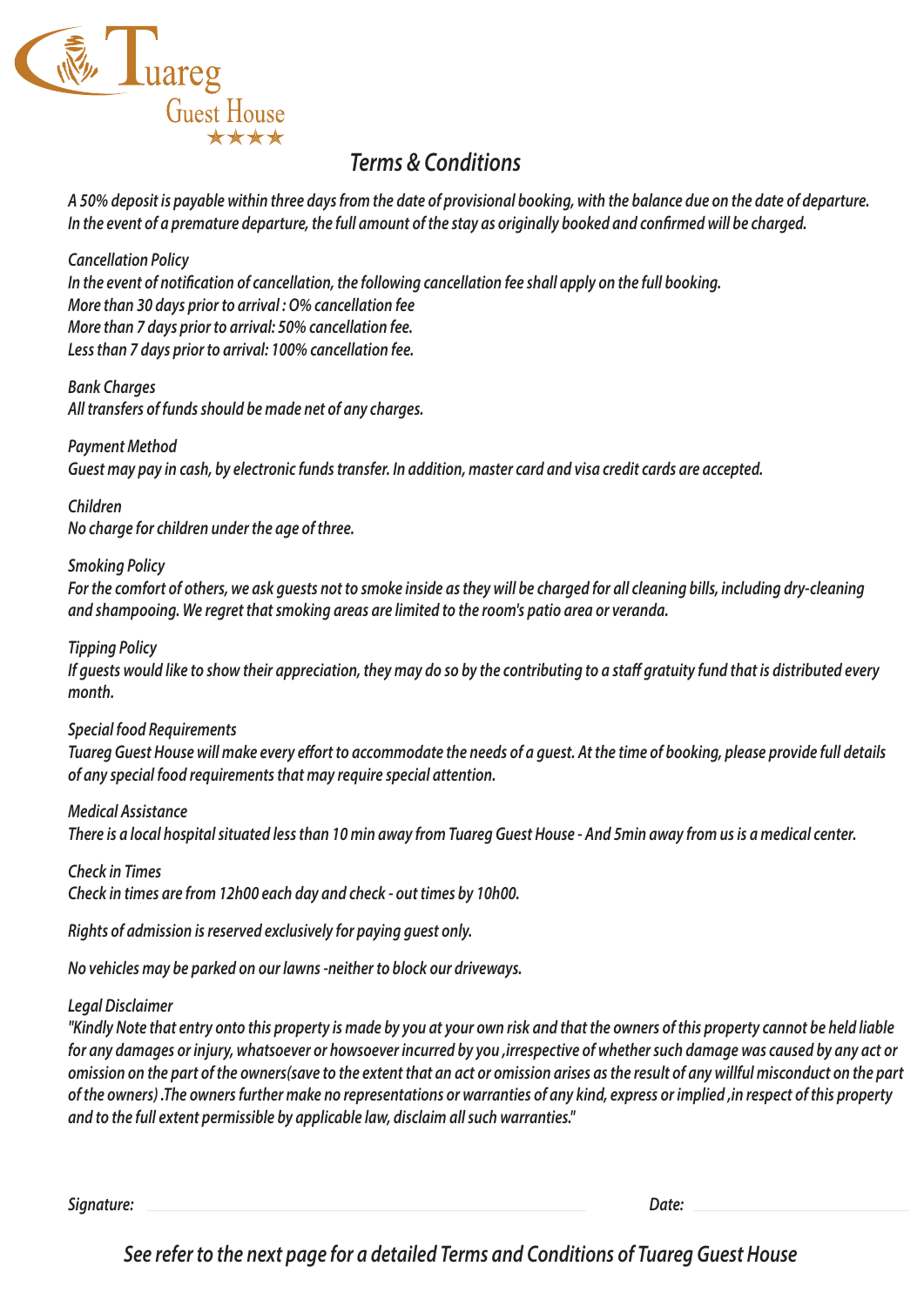

*A 50% deposit is payable within three days from the date of provisional booking, with the balance due on the date of departure. In the event of a premature departure, the full amount of the stay as originally booked and conrmed will be charged.*

*Cancellation Policy* In the event of notification of cancellation, the following cancellation fee shall apply on the full booking. *More than 30 days prior to arrival : O% cancellation fee More than 7 days prior to arrival: 50% cancellation fee. Less than 7 days prior to arrival: 100% cancellation fee.*

*Bank Charges All transfers of funds should be made net of any charges.*

*Payment Method Guest may pay in cash, by electronic funds transfer. In addition, master card and visa credit cards are accepted.*

## *Children*

*No charge for children under the age of three.*

#### *Smoking Policy*

*For the comfort of others, we ask guests not to smoke inside as they will be charged for all cleaning bills, including dry-cleaning and shampooing. We regret that smoking areas are limited to the room's patio area or veranda.*

#### *Tipping Policy*

If guests would like to show their appreciation, they may do so by the contributing to a staff gratuity fund that is distributed every *month.*

#### *Special food Requirements*

*Tuareg Guest House will make every effort to accommodate the needs of a guest. At the time of booking, please provide full details of any special food requirements that may require special attention.*

#### *Medical Assistance*

*There is a local hospital situated less than 10 min away from Tuareg Guest House - And 5min away from us is a medical center.*

*Check in Times*

*Check in times are from 12h00 each day and check - out times by 10h00.*

*Rights of admission is reserved exclusively for paying guest only.*

*No vehicles may be parked on our lawns -neither to block our driveways.*

#### *Legal Disclaimer*

*"Kindly Note that entry onto this property is made by you at your own risk and that the owners of this property cannot be held liable for any damages or injury, whatsoever or howsoever incurred by you ,irrespective of whether such damage was caused by any act or omission on the part of the owners(save to the extent that an act or omission arises as the result of any willful misconduct on the part of the owners) .The owners further make no representations or warranties of any kind, express or implied ,in respect of this property and to the full extent permissible by applicable law, disclaim all such warranties."*

*Signature: Date:*

*See refer to the next page for a detailed Terms and Conditions of Tuareg Guest House*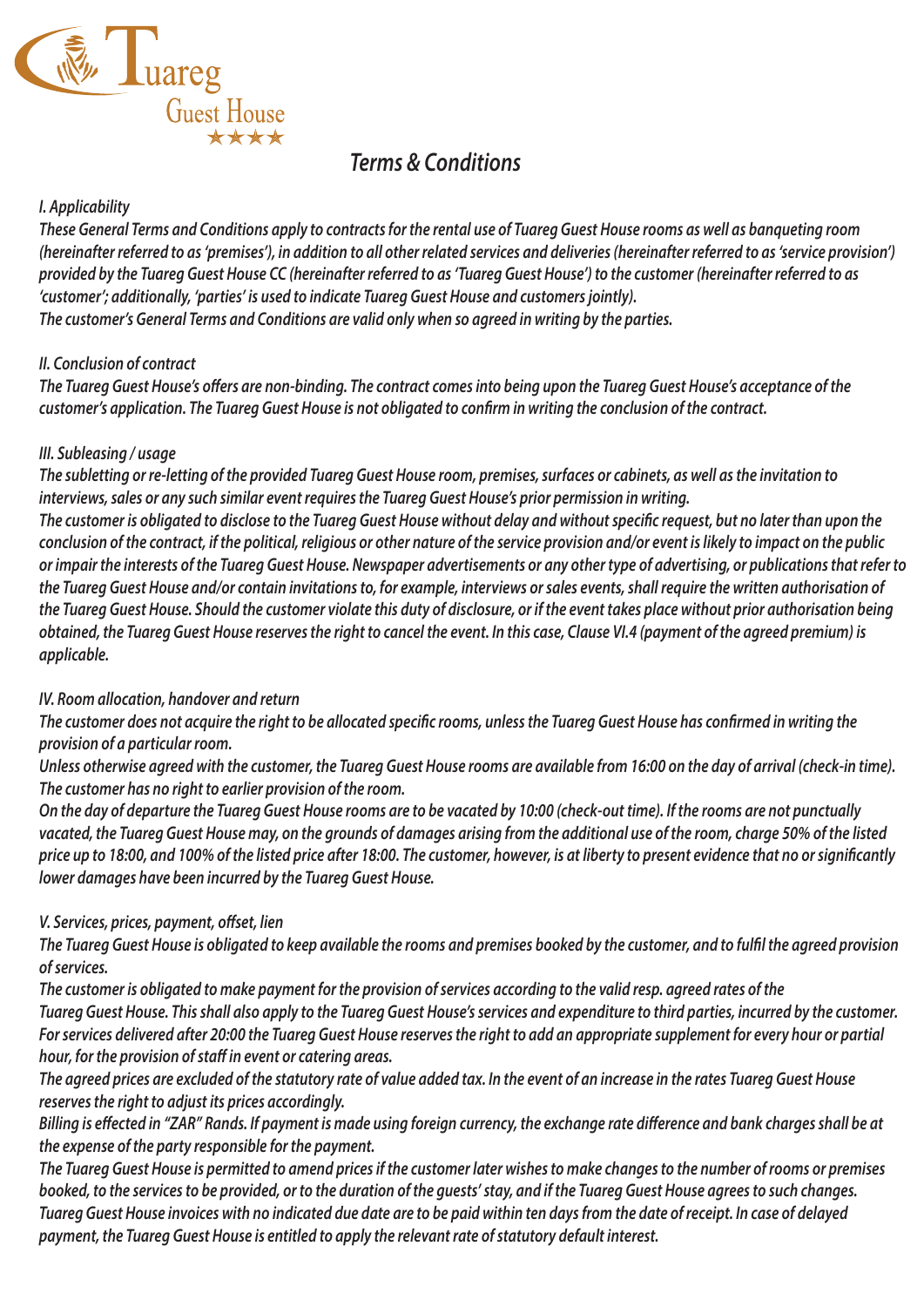

#### *I. Applicability*

*These General Terms and Conditions apply to contracts for the rental use of Tuareg Guest House rooms as well as banqueting room (hereinafter referred to as 'premises'), in addition to all other related services and deliveries (hereinafter referred to as 'service provision') provided by the Tuareg Guest House CC (hereinafter referred to as 'Tuareg Guest House') to the customer (hereinafter referred to as 'customer'; additionally, 'parties' is used to indicate Tuareg Guest House and customers jointly). The customer's General Terms and Conditions are valid only when so agreed in writing by the parties.*

#### *II. Conclusion of contract*

The Tuareg Guest House's offers are non-binding. The contract comes into being upon the Tuareg Guest House's acceptance of the *customer's application. The Tuareg Guest House is not obligated to conrm in writing the conclusion of the contract.*

#### *III. Subleasing / usage*

*The subletting or re-letting of the provided Tuareg Guest House room, premises, surfaces or cabinets, as well as the invitation to interviews, sales or any such similar event requires the Tuareg Guest House's prior permission in writing.*  The customer is obligated to disclose to the Tuareg Guest House without delay and without specific request, but no later than upon the *conclusion of the contract, if the political, religious or other nature of the service provision and/or event is likely to impact on the public or impair the interests of the Tuareg Guest House. Newspaper advertisements or any other type of advertising, or publications that refer to the Tuareg Guest House and/or contain invitations to, for example, interviews or sales events, shall require the written authorisation of the Tuareg Guest House. Should the customer violate this duty of disclosure, or if the event takes place without prior authorisation being obtained, the Tuareg Guest House reserves the right to cancel the event. In this case, Clause VI.4 (payment of the agreed premium) is applicable.*

## *IV. Room allocation, handover and return*

The customer does not acquire the right to be allocated specific rooms, unless the Tuareg Guest House has confirmed in writing the *provision of a particular room.*

*Unless otherwise agreed with the customer, the Tuareg Guest House rooms are available from 16:00 on the day of arrival (check-in time). The customer has no right to earlier provision of the room.*

*On the day of departure the Tuareg Guest House rooms are to be vacated by 10:00 (check-out time). If the rooms are not punctually vacated, the Tuareg Guest House may, on the grounds of damages arising from the additional use of the room, charge 50% of the listed price up to 18:00, and 100% of the listed price after 18:00. The customer, however, is at liberty to present evidence that no or signicantly lower damages have been incurred by the Tuareg Guest House.*

## $V.$  Services, prices, payment, offset, lien

The Tuareg Guest House is obligated to keep available the rooms and premises booked by the customer, and to fulfil the agreed provision *of services.*

*The customer is obligated to make payment for the provision of services according to the valid resp. agreed rates of the Tuareg Guest House. This shall also apply to the Tuareg Guest House's services and expenditure to third parties, incurred by the customer. For services delivered after 20:00 the Tuareg Guest House reserves the right to add an appropriate supplement for every hour or partial hour, for the provision of staff in event or catering areas.* 

*The agreed prices are excluded of the statutory rate of value added tax. In the event of an increase in the rates Tuareg Guest House reserves the right to adjust its prices accordingly.*

Billing is effected in "ZAR" Rands. If payment is made using foreign currency, the exchange rate difference and bank charges shall be at *the expense of the party responsible for the payment.*

*The Tuareg Guest House is permitted to amend prices if the customer later wishes to make changes to the number of rooms or premises booked, to the services to be provided, or to the duration of the guests' stay, and if the Tuareg Guest House agrees to such changes. Tuareg Guest House invoices with no indicated due date are to be paid within ten days from the date of receipt. In case of delayed payment, the Tuareg Guest House is entitled to apply the relevant rate of statutory default interest.*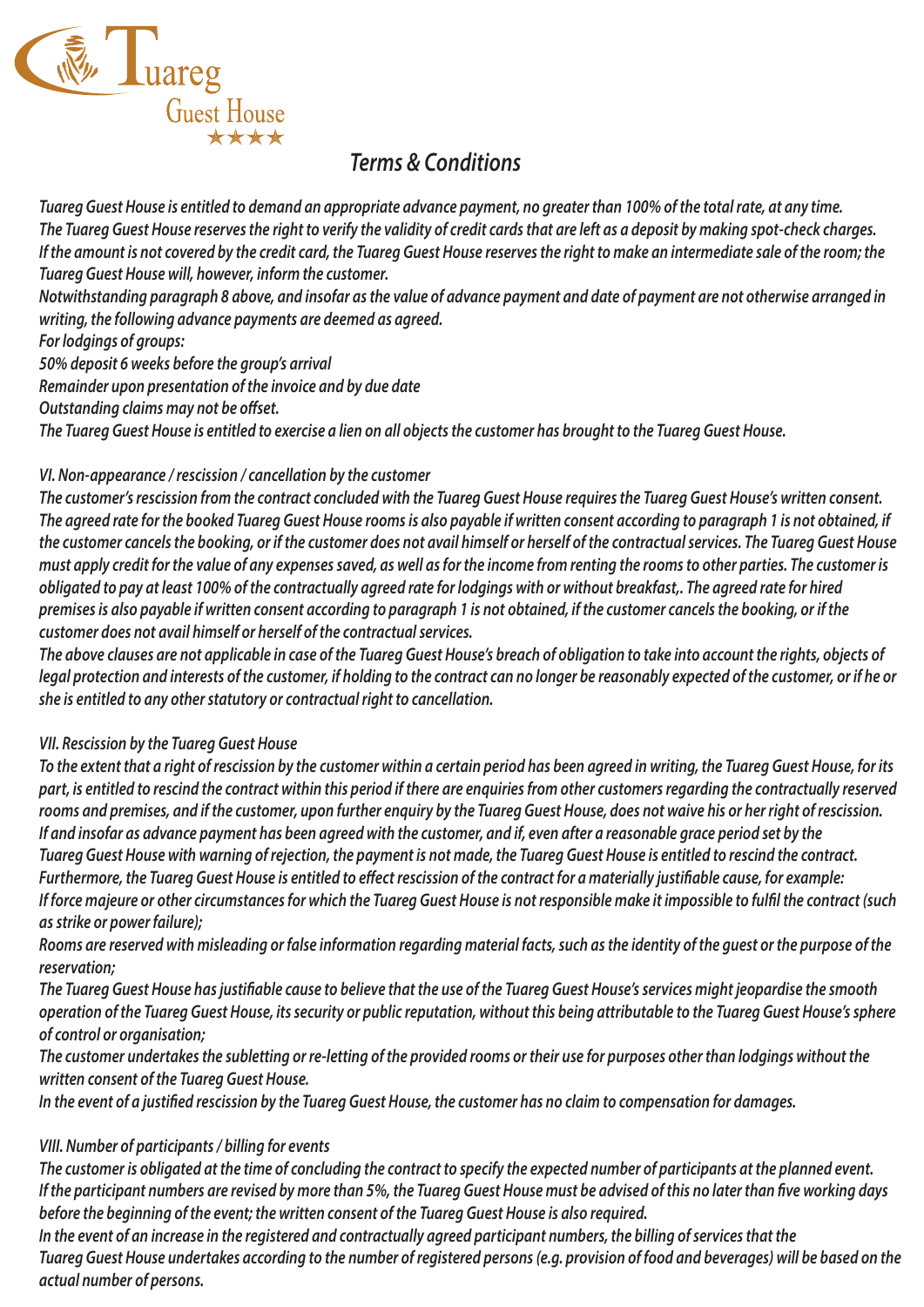

*Tuareg Guest House is entitled to demand an appropriate advance payment, no greater than 100% of the total rate, at any time. The Tuareg Guest House reserves the right to verify the validity of credit cards that are left as a deposit by making spot-check charges. If the amount is not covered by the credit card, the Tuareg Guest House reserves the right to make an intermediate sale of the room; the Tuareg Guest House will, however, inform the customer.*

*Notwithstanding paragraph 8 above, and insofar as the value of advance payment and date of payment are not otherwise arranged in writing, the following advance payments are deemed as agreed.*

*For lodgings of groups:*

*50% deposit 6 weeks before the group's arrival*

*Remainder upon presentation of the invoice and by due date*

**Outstanding claims may not be offset.** 

*The Tuareg Guest House is entitled to exercise a lien on all objects the customer has brought to the Tuareg Guest House.*

#### *VI. Non-appearance / rescission / cancellation by the customer*

*The customer's rescission from the contract concluded with the Tuareg Guest House requires the Tuareg Guest House's written consent. The agreed rate for the booked Tuareg Guest House rooms is also payable if written consent according to paragraph 1 is not obtained, if the customer cancels the booking, or if the customer does not avail himself or herself of the contractual services. The Tuareg Guest House must apply credit for the value of any expenses saved, as well as for the income from renting the rooms to other parties. The customer is obligated to pay at least 100% of the contractually agreed rate for lodgings with or without breakfast,. The agreed rate for hired premises is also payable if written consent according to paragraph 1 is not obtained, if the customer cancels the booking, or if the customer does not avail himself or herself of the contractual services.*

*The above clauses are not applicable in case of the Tuareg Guest House's breach of obligation to take into account the rights, objects of legal protection and interests of the customer, if holding to the contract can no longer be reasonably expected of the customer, or if he or she is entitled to any other statutory or contractual right to cancellation.*

## *VII. Rescission by the Tuareg Guest House*

*To the extent that a right of rescission by the customer within a certain period has been agreed in writing, the Tuareg Guest House, for its part, is entitled to rescind the contract within this period if there are enquiries from other customers regarding the contractually reserved rooms and premises, and if the customer, upon further enquiry by the Tuareg Guest House, does not waive his or her right of rescission. If and insofar as advance payment has been agreed with the customer, and if, even after a reasonable grace period set by the Tuareg Guest House with warning of rejection, the payment is not made, the Tuareg Guest House is entitled to rescind the contract. Furthermore, the Tuareg Guest House is entitled to effect rescission of the contract for a materially justifiable cause, for example:* If force majeure or other circumstances for which the Tuareg Guest House is not responsible make it impossible to fulfil the contract (such *as strike or power failure);*

*Rooms are reserved with misleading or false information regarding material facts, such as the identity of the guest or the purpose of the reservation;*

*The Tuareg Guest House has justiable cause to believe that the use of the Tuareg Guest House's services might jeopardise the smooth operation of the Tuareg Guest House, its security or public reputation, without this being attributable to the Tuareg Guest House's sphere of control or organisation;*

*The customer undertakes the subletting or re-letting of the provided rooms or their use for purposes other than lodgings without the written consent of the Tuareg Guest House.*

In the event of a justified rescission by the Tuareg Guest House, the customer has no claim to compensation for damages.

## *VIII. Number of participants / billing for events*

*The customer is obligated at the time of concluding the contract to specify the expected number of participants at the planned event. If the participant numbers are revised by more than 5%, the Tuareg Guest House must be advised of this no later than five working days before the beginning of the event; the written consent of the Tuareg Guest House is also required.*

*In the event of an increase in the registered and contractually agreed participant numbers, the billing of services that the Tuareg Guest House undertakes according to the number of registered persons (e.g. provision of food and beverages) will be based on the actual number of persons.*